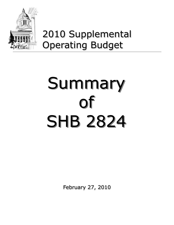

# 2010 Supplemental Operating Budget

# Summary of SHB 2824

February 27, 2010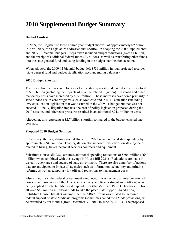# **2010 Supplemental Budget Summary**

#### **Budget Context**

In 2009, the Legislature faced a three year budget shortfall of approximately \$9 billion. In April 2009, the Legislature addressed that shortfall in adopting the 2009 Supplemental and 2009-11 biennial budgets. Steps taken included budget reductions (over \$4 billion) and the receipt of additional federal funds (\$3 billion), as well as transferring other funds into the state general fund and using funding in the budget stabilization account.

When adopted, the 2009-11 biennial budget left \$739 million in total projected reserves (state general fund and budget stabilization account ending balances).

#### **2010 Budget Shortfall**

The four subsequent revenue forecasts for the state general fund have declined by a total of \$1.8 billion (including the impacts of revenue related litigation). Caseload and other mandatory costs have increased by \$653 million. Those increases have come primarily in state funded health care programs such as Medicaid and in K-12 education (including levy equalization legislation that was assumed in the 2009-11 budget but that was not enacted). Finally, litigation impacts, the cost of policy legislation proposed during the 2010 session, and other cost pressures resulted in an additional \$243 million in costs.

Altogether, this represents a \$2.7 billion shortfall compared to the budget enacted one year ago.

#### **Proposed 2010 Budget Solution**

In February, the Legislature enacted House Bill 2921 which reduced state spending by approximately \$45 million. That legislation also imposed restrictions on state agencies related to hiring, travel, personal services contracts and equipment.

Substitute House Bill 2824 assumes additional spending reductions of \$605 million (\$650 million when combined with the savings in House Bill 2921). Reductions are made in virtually every area and agency of state government. There are also a number of actions that are anticipated to impact all agencies such as information technology and printing reforms, as well as temporary lay-offs and reductions to management costs.

Also in February, the federal government announced it was revising an interpretation of how certain provisions of the American Recovery and Reinvestment Act (ARRA) were being applied to selected Medicaid expenditures (the Medicare Part D Clawback). This allowed \$86 million in federal funds to take the place state support. In addition, Substitute House Bill 2824 assumes that the ARRA provisions related to increased federal support of state Medicaid programs (sometimes called the FMAP provisions) will be extended by six months (from December 31, 2010 to June 30, 2011). The proposed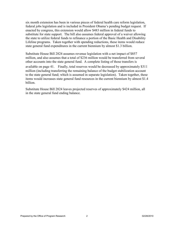six month extension has been in various pieces of federal health care reform legislation, federal jobs legislation and is included in President Obama's pending budget request. If enacted by congress, this extension would allow \$483 million in federal funds to substitute for state support. The bill also assumes federal approval of a waiver allowing the state to utilize federal funds to refinance a portion of the Basic Health and Disability Lifeline programs. Taken together with spending reductions, these items would reduce state general fund expenditures in the current biennium by almost \$1.3 billion.

Substitute House Bill 2824 assumes revenue legislation with a net impact of \$857 million, and also assumes that a total of \$236 million would be transferred from several other accounts into the state general fund. A complete listing of those transfers is

available on page 41. Finally, total reserves would be decreased by approximately \$311 million (including transferring the remaining balance of the budget stabilization account to the state general fund; which is assumed in separate legislation). Taken together, these items would increases state general fund resources in the current biennium by almost \$1.4 billion.

Substitute House Bill 2824 leaves projected reserves of approximately \$424 million, all in the state general fund ending balance.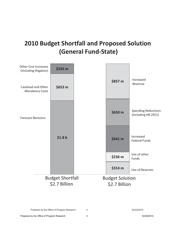# **2010 Budget Shortfall and Proposed Solution (General Fund-State)**

| <b>Other Cost Increases</b><br>(Including litigation) | \$243 m                                  |                                         |                                                   |
|-------------------------------------------------------|------------------------------------------|-----------------------------------------|---------------------------------------------------|
| Caseload and Other<br><b>Mandatory Costs</b>          | \$653 m                                  | \$857 m                                 | Increased<br>Revenue                              |
| <b>Forecast Revisions</b>                             |                                          | \$650 m                                 | <b>Spending Reductions</b><br>(Including HB 2921) |
|                                                       | \$1.8 <sub>b</sub>                       | \$641 m                                 | Increased<br><b>Federal Funds</b>                 |
|                                                       |                                          | \$236 m                                 | Use of other<br>Funds                             |
|                                                       |                                          | \$314 m                                 | Use of Reserves                                   |
|                                                       | <b>Budget Shortfall</b><br>\$2.7 Billion | <b>Budget Solution</b><br>\$2.7 Billion |                                                   |

Prepared by the Office of Program Research 3 02/22/2010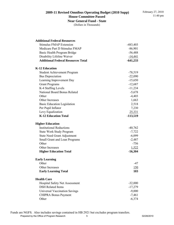#### **2009-11 Revised Omnibus Operating Budget (2010 Supp) House Committee Passed Near General Fund - State**

| <b>Additional Federal Resources</b>       |            |
|-------------------------------------------|------------|
| <b>Stimulus FMAP Extension</b>            | $-483,403$ |
| Medicare Part D Stimulus FMAP             | $-86,901$  |
| Basic Health Program Bridge               | $-56,488$  |
| Disability Lifeline Waiver                | $-14,441$  |
| <b>Additional Federal Resources Total</b> | $-641,233$ |
| <b>K-12 Education</b>                     |            |
| <b>Student Achievement Program</b>        | $-78,519$  |
| <b>Bus Depreciation</b>                   | $-22,090$  |
| Learning Improvement Day                  | $-15,650$  |
| <b>Grant Programs</b>                     | $-12,687$  |
| K-4 Staffing Levels                       | $-11,234$  |
| <b>National Board Bonus Related</b>       | $-5,678$   |
| Other                                     | $-4,403$   |
| Other Increases                           | 1,663      |
| <b>Basic Education Legislation</b>        | 2,518      |
| Per Pupil Inflator                        | 7,230      |
| Levy Equalization                         | 25,331     |
| <b>K-12 Education Total</b>               | $-113,519$ |
| <b>Higher Education</b>                   |            |
| <b>Institutional Reductions</b>           | $-40,762$  |
| <b>State Work Study Program</b>           | $-7,722$   |
| <b>State Need Grant Adjustment</b>        | $-6,099$   |
| Small Grant and Loan Programs             | $-2,487$   |
| Other                                     | $-756$     |
| Other Increases                           | 1,522      |
| <b>Higher Education Total</b>             | $-56,304$  |
| <b>Early Learning</b>                     |            |
| Other                                     | -47        |
| Other Increases                           | <u>150</u> |
| <b>Early Learning Total</b>               | 103        |
| <b>Health Care</b>                        |            |
| Hospital Safety Net Assessment            | $-32,000$  |
| <b>DSH Related Items</b>                  | $-17,279$  |
| <b>Universal Vaccination Savings</b>      | $-9,000$   |
| <b>CHIPRA Bonus Payment</b>               | $-7,461$   |
| Other                                     | $-6,374$   |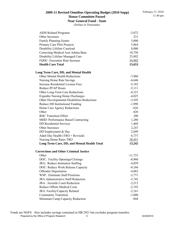#### **2009-11 Revised Omnibus Operating Budget (2010 Supp) House Committee Passed Near General Fund - State**

| <b>AIDS</b> Related Programs                  | $-3,872$  |
|-----------------------------------------------|-----------|
| Other Increases                               | 231       |
| <b>Family Planning Grants</b>                 | 3,000     |
| Primary Care Pilot Projects                   | 5,864     |
| Disability Lifeline Caseload                  | 8,000     |
| Correcting Medical Asst Admin Base            | 10,750    |
| Disability Lifeline Managed Care              | 23,892    |
| FQHC: Encounter Rate Increase                 | 39,902    |
| <b>Health Care Total</b>                      | 15,653    |
| <b>Long Term Care, DD, and Mental Health</b>  |           |
| <b>Other Mental Health Reductions</b>         | $-7,960$  |
| <b>Nursing Home Rate Savings</b>              | $-6,646$  |
| <b>Increase Residential License Fees</b>      | $-5,182$  |
| Reduce IP/AP Hours                            | $-5,111$  |
| Other Long-Term Care Reductions               | $-4,321$  |
| <b>Expedite Nursing Home Discharges</b>       | $-4,025$  |
| Other Developmental Disabilities Reductions   | $-3,545$  |
| Reduce DD Institutional Funding               | $-1,998$  |
| Home Care Agency Reductions                   | $-626$    |
| Other                                         | $-426$    |
| <b>RHC Transition Effort</b>                  | 200       |
| MHD: Performance Based Contracting            | 1,280     |
| <b>DD Residential Services</b>                | 1,468     |
| Other Increases                               | 2,247     |
| DD Employment & Day                           | 2,699     |
| Adult Day Health (TRO + Revised)              | 6,737     |
| Nursing Home Rates TRO                        | 38,451    |
| Long Term Care, DD, and Mental Health Total   | 13,242    |
| <b>Corrections and Other Criminal Justice</b> |           |
| Other                                         | $-11,733$ |
| DOC: Facility Openings/Closings               | $-8,960$  |
| JRA: Reduce Institution Staffing              | $-4,859$  |
| DOC: Reduce Work Release Capacity             | $-4,166$  |
| <b>Offender Deportation</b>                   | $-4,062$  |
| WSP: Eliminate Staff Positions                | $-3,771$  |
| <b>JRA Administrative Staff Reduction</b>     | $-3,742$  |
| JRA: Juvenile Court Reduction                 | $-2,513$  |
| <b>Reduce Offsite Medical Costs</b>           | $-2,192$  |
| JRA: Facility/Capacity Related                | $-2,161$  |
| <b>Community Transition</b>                   | $-1,000$  |
| Minimum Camp Capacity Reduction               | $-944$    |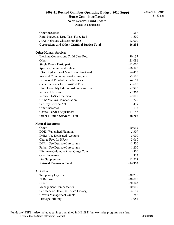#### **2009-11 Revised Omnibus Operating Budget (2010 Supp) House Committee Passed**

#### **Near General Fund - State**

| Other Increases                                     | 367       |
|-----------------------------------------------------|-----------|
| Rural Narcotics Drug Task Force Red                 | 1,500     |
| JRA: Reinstate Closure Funding                      | 12,000    |
| <b>Corrections and Other Criminal Justice Total</b> | $-36,236$ |
| <b>Other Human Services</b>                         |           |
| Working Connections Child Care Red.                 | $-30,137$ |
| Other                                               | $-21,081$ |
| <b>Single Parent Participation</b>                  | $-11,000$ |
| <b>Special Commitment Related</b>                   | $-10,580$ |
| ESA: Reduction of Mandatory Workload                | $-6,416$  |
| <b>Suspend Community Works Programs</b>             | $-5,500$  |
| <b>Behavioral Rehabilitative Services</b>           | $-4,151$  |
| <b>Career Services for Non-WorkFirst</b>            | $-3,600$  |
| Elim. Disability Lifeline Admin Rvw Team            | $-2,982$  |
| Reduce Job Search                                   | $-2,363$  |
| <b>Reduce DASA Treatment</b>                        | $-2,000$  |
| Crime Victims Compensation                          | $-1,220$  |
| Security Lifeline Act                               | 499       |
| Other Increases                                     | 675       |
| Central Service Adjustment                          | 11,148    |
| <b>Other Human Services Total</b>                   | $-88,708$ |
| <b>Natural Resources</b>                            |           |
| Other                                               | $-10,032$ |
| DOE: Watershed Planning                             | $-5,309$  |
| <b>DNR: Use Dedicated Accounts</b>                  | $-5,000$  |
| Charge Fees for HPAs                                | $-3,060$  |
| DFW: Use Dedicated Accounts                         | $-1,500$  |
| Parks: Use Dedicated Accounts                       | $-1,200$  |
| Eliminate Columbia River Gorge Comm                 | $-300$    |
| Other Increases                                     | 322       |
| Fire Suppression                                    | 11,727    |
| <b>Natural Resources Total</b>                      | $-14,352$ |
| <b>All Other</b>                                    |           |
| Temporary Layoffs                                   | $-38,215$ |
| IT Reform                                           | $-30,000$ |
| Other                                               | $-20,843$ |
| <b>Management Compensation</b>                      | $-10,000$ |
| Secretary of State (incl. State Library)            | $-4,197$  |
| <b>Growth Management Grants</b>                     | $-3,762$  |
| <b>Strategic Printing</b>                           | $-3,081$  |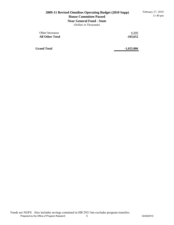#### **2009-11 Revised Omnibus Operating Budget (2010 Supp) House Committee Passed Near General Fund - State**

(Dollars in Thousands)

Other Increases 6,446  **All Other Total -103,652**

**Grand Total -1,025,006**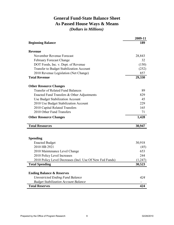# **General Fund-State Balance Sheet** *(Dollars in Millions)* **As Passed House Ways & Means**

|                                                          | 2009-11 |
|----------------------------------------------------------|---------|
| <b>Beginning Balance</b>                                 | 189     |
| <b>Revenue</b>                                           |         |
| November Revenue Forecast                                | 28,843  |
| <b>February Forecast Change</b>                          | 32      |
| DOT Foods, Inc. v. Dept. of Revenue                      | (150)   |
| <b>Transfer to Budget Stabilization Account</b>          | (252)   |
| 2010 Revenue Legislation (Net Change)                    | 857     |
| <b>Total Revenue</b>                                     | 29,330  |
| <b>Other Resource Changes</b>                            |         |
| <b>Transfer of Related Fund Balances</b>                 | 89      |
| Enacted Fund Transfers & Other Adjustments               | 829     |
| Use Budget Stabilization Account                         | 45      |
| 2010 Use Budget Stabilization Account                    | 229     |
| 2010 Capital Related Transfers                           | 165     |
| 2010 Other Fund Transfers                                | 71      |
| <b>Other Resource Changes</b>                            | 1,428   |
| <b>Total Resources</b>                                   | 30,947  |
| <b>Spending</b>                                          |         |
| <b>Enacted Budget</b>                                    | 30,918  |
| 2010 HB 2921                                             | (45)    |
| 2010 Maintenance Level Change                            | 653     |
| 2010 Policy Level Increases                              | 244     |
| 2010 Policy Level Decreases (Incl. Use Of New Fed Funds) | (1,247) |
| <b>Total Spending</b>                                    | 30,523  |
| <b>Ending Balance &amp; Reserves</b>                     |         |
| <b>Unrestricted Ending Fund Balance</b>                  | 424     |
| <b>Budget Stabilization Account Balance</b>              |         |
| <b>Total Reserves</b>                                    | 424     |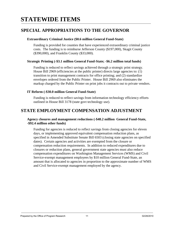# **STATEWIDE ITEMS**

# **SPECIAL APPROPRIATIONS TO THE GOVERNOR**

#### **Extraordinary Criminal Justice (\$0.6 million General Fund-State)**

Funding is provided for counties that have experienced extraordinary criminal justice costs. The funding is to reimburse Jefferson County (\$197,000), Skagit County (\$390,000), and Franklin County (\$33,000).

#### **Strategic Printing (-\$3.1 million General Fund-State; -\$6.2 million total funds)**

Funding is reduced to reflect savings achieved through a strategic print strategy. House Bill 2969 (efficiencies at the public printer) directs large agencies to: (1) transition to print management contracts for office printing; and (2) standardize envelopes ordered from the Public Printer. House Bill 2969 also eliminates the markup charged by the Public Printer on print jobs it contracts out to private vendors.

#### **IT Reform (-\$30.0 million General Fund-State)**

Funding is reduced to reflect savings from information technology efficiency efforts outlined in House Bill 3178 (state govt technology use).

# **STATE EMPLOYMENT COMPENSATION ADJUSTMENT**

#### **Agency closures and management reductions (-\$48.2 million General Fund-State, -\$92.4 million other funds)**

Funding for agencies is reduced to reflect savings from closing agencies for eleven days, or implementing approved equivalent compensation reduction plans, as specified in Amended Substitute Senate Bill 6503 (closing state agencies on specified dates). Certain agencies and activities are exempted from the closure or compensation reduction requirements. In addition to reduced expenditures due to closures or reduction plans, general government state agencies must also reduce compensation expenditures on Washington Management Services (WMS) and Civil Service-exempt management employees by \$10 million General Fund-State, an amount that is allocated to agencies in proportion to the approximate number of WMS and Civil Service-exempt management employed by the agency.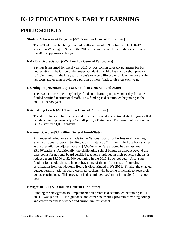# **K-12 EDUCATION & EARLY LEARNING**

# **PUBLIC SCHOOLS**

#### **Student Achievement Program (-\$78.5 million General Fund-State)**

The 2009-11 enacted budget includes allocations of \$99.32 for each FTE K-12 student in Washington State in the 2010-11 school year. This funding is eliminated in the 2010 supplemental budget.

#### **K-12 Bus Depreciation (-\$22.1 million General Fund-State)**

Savings is assumed for fiscal year 2011 by postponing sales tax payments for bus depreciation. The Office of the Superintendent of Public Instruction shall provide sufficient funds in the last year of a bus's expected life cycle sufficient to cover sales tax costs, rather than providing a portion of these funds to districts each year.

#### **Learning Improvement Day (-\$15.7 million General Fund-State)**

The 2009-11 base operating budget funds one learning improvement day for statefunded certified instructional staff. This funding is discontinued beginning in the 2010-11 school year.

#### **K-4 Staffing Levels (-\$11.1 million General Fund-State)**

The state allocation for teachers and other certificated instructional staff in grades K-4 is reduced to approximately 52.7 staff per 1,000 students. The current allocation rate is 53.2 staff per 1,000 students.

#### **National Board (-\$5.7 million General Fund-State)**

A number of reductions are made to the National Board for Professional Teaching Standards bonus program, totaling approximately \$5.7 million. The base bonus is set at the pre-inflation adjusted rate of \$5,000/teacher (the enacted budget assumes \$5,090/teacher). Additionally, the challenging school bonus, an amount beyond the base bonus for national board certified teachers employed in high-poverty schools, is reduced from \$5,000 to \$2,500 beginning in the 2010-11 school year. Also, state funding for scholarships to help defray some of the up-front costs of pursuing certification from the National Board is discontinued in FY 2011. Finally, the enacted budget permits national board certified teachers who become principals to keep their bonus as principals. This provision is discontinued beginning in the 2010-11 school year.

#### **Navigation 101 (-\$3.2 million General Fund-State)**

Funding for Navigation 101 implementation grants is discontinued beginning in FY 2011. Navigation 101 is a guidance and career counseling program providing college and career readiness services and curriculum for students.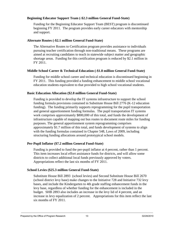#### **Beginning Educator Support Team (-\$2.3 million General Fund-State)**

Funding for the Beginning Educator Support Team (BEST) program is discontinued beginning FY 2011. The program provides early career educators with mentorship and support.

#### **Alternate Routes (-\$2.1 million General Fund-State)**

The Alternative Routes to Certification program provides assistance to individuals pursuing teacher certification through non-traditional means. These programs are aimed at recruiting candidates to teach in statewide subject matter and geographic shortage areas. Funding for this certification program is reduced by \$2.1 million in FY 2011.

#### **Middle School Career & Technical Education (-\$1.8 million General Fund-State)**

Funding for middle school career and technical education is discontinued beginning in FY 2011. This funding provided a funding enhancement to middle school vocational education students equivalent to that provided to high school vocational students.

#### **Basic Education Allocation (\$2.8 million General Fund-State)**

Funding is provided to develop the IT systems infrastructure to support the school funding formula provisions contained in Substitute House Bill 2776 (K-12 education funding). The funding primarily supports reprogramming for the pupil transportation and general apportionment funding formulas. The pupil transportation IT systems work comprises approximately \$800,000 of this total, and funds the development of infrastructure capable of mapping out bus routes to document route miles for funding purposes. The general apportionment system reprogramming comprises approximately \$1.7 million of this total, and funds development of systems to align with the funding formulas contained in Chapter 548, Laws of 2009, including structuring funding allocations around prototypical school models.

#### **Per-Pupil Inflator (\$7.2 million General Fund-State)**

Funding is provided to fund the per-pupil inflator at 4 percent, rather than 1 percent. This item increases local effort assistance funds for districts, and will allow some districts to collect additional local funds previously approved by voters. Appropriations reflect the last six months of FY 2011.

#### **School Levies (\$25.3 million General Fund-State)**

Substitute House Bill 2893 (school levies) and Second Substitute House Bill 2670 (school district levy base) make changes to the Initiative 728 and Initiative 732 levy bases, and include the Kindergarten to 4th grade staffing enhancement funds in the levy base, regardless of whether funding for the enhancement is included in the budget. SHB 2893 also includes an increase in the levy lid of 4 percent, and an increase in levy equalization of 2 percent. Appropriations for this item reflect the last six months of FY 2011.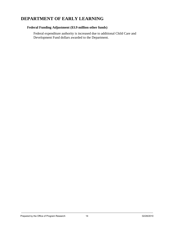# **DEPARTMENT OF EARLY LEARNING**

#### **Federal Funding Adjustment (\$3.9 million other funds)**

Federal expenditure authority is increased due to additional Child Care and Development Fund dollars awarded to the Department.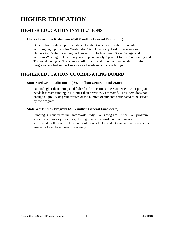# **HIGHER EDUCATION**

# **HIGHER EDUCATION INSTITUTIONS**

#### **Higher Education Reductions (-\$40.8 million General Fund-State)**

General fund state support is reduced by about 4 percent for the University of Washington, 3 percent for Washington State University, Eastern Washington University, Central Washington University, The Evergreen State College, and Western Washington University, and approximately 2 percent for the Community and Technical Colleges. The savings will be achieved by reductions in administrative programs, student support services and academic course offerings.

# **HIGHER EDUCATION COORDINATING BOARD**

#### **State Need Grant Adjustment (-\$6.1 million General Fund-State)**

Due to higher than anticipated federal aid allocations, the State Need Grant program needs less state funding in FY 2011 than previously estimated. This item does not change eligibility or grant awards or the number of students anticipated to be served by the program.

#### **State Work Study Program (-\$7.7 million General Fund-State)**

Funding is reduced for the State Work Study (SWS) program. In the SWS program, students earn money for college through part-time work and their wages are subsidized by the state. The amount of money that a student can earn in an academic year is reduced to achieve this savings.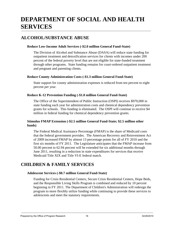# **DEPARTMENT OF SOCIAL AND HEALTH SERVICES**

# **ALCOHOL/SUBSTANCE ABUSE**

#### **Reduce Low-Income Adult Services (-\$2.0 million General Fund-State)**

The Division of Alcohol and Substance Abuse (DASA) will reduce state funding for outpatient treatment and detoxification services for clients with incomes under 200 percent of the federal poverty level that are not eligible for state-funded treatment through other programs. State funding remains for court-ordered outpatient treatment and pregnant and parenting clients.

#### **Reduce County Administration Costs (-\$1.3 million General Fund-State)**

State support for county administration expenses is reduced from ten percent to eight percent per year.

#### **Reduce K-12 Prevention Funding (-\$1.0 million General Fund-State)**

The Office of the Superintendent of Public Instruction (OSPI) receives \$970,000 in state funding each year for administration costs and chemical dependency prevention grants for schools. This funding is eliminated. The OSPI will continue to receive \$4 million in federal funding for chemical dependency prevention grants.

#### **Stimulus FMAP Extension (-\$2.5 million General Fund-State; \$2.5 million other funds)**

The Federal Medical Assistance Percentage (FMAP) is the share of Medicaid costs that the federal government provides. The American Recovery and Reinvestment Act of 2009 increased FMAP by almost 13 percentage points for all of FY 2010 and the first six months of FY 2011. The Legislature anticipates that the FMAP increase from 50.00 percent to 62.94 percent will be extended for six additional months through June 2011, resulting in a reduction in state expenditures for services that receive Medicaid Title XIX and Title VI-E federal match.

# **CHILDREN & FAMILY SERVICES**

#### **Adolescent Services (-\$0.7 million General Fund-State)**

Funding for Crisis Residential Centers, Secure Crisis Residential Centers, Hope Beds, and the Responsible Living Skills Program is combined and reduced by 10 percent beginning in FY 2011. The Department of Children's Administration will redesign the program to more flexibly utilize funding while continuing to provide these services to adolescents and meet the statutory requirements.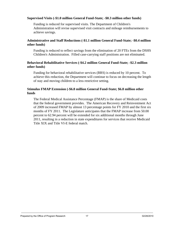#### **Supervised Visits (-\$1.0 million General Fund-State; -\$0.3 million other funds)**

Funding is reduced for supervised visits. The Department of Children's Administration will revise supervised visit contracts and mileage reimbursements to achieve savings.

#### **Administrative and Staff Reductions (-\$1.1 million General Fund-State; -\$0.4 million other funds)**

Funding is reduced to reflect savings from the elimination of 20 FTEs from the DSHS Children's Administration. Filled case-carrying staff positions are not eliminated.

#### **Behavioral Rehabilitative Services (-\$4.2 million General Fund-State; -\$2.3 million other funds)**

Funding for behavioral rehabilitative services (BRS) is reduced by 10 percent. To achieve this reduction, the Department will continue to focus on decreasing the length of stay and moving children to a less restrictive setting.

#### **Stimulus FMAP Extension (-\$6.8 million General Fund-State; \$6.8 million other funds**

The Federal Medical Assistance Percentage (FMAP) is the share of Medicaid costs that the federal government provides. The American Recovery and Reinvestment Act of 2009 increased FMAP by almost 13 percentage points for FY 2010 and the first six months of FY 2011. The Legislature anticipates that the FMAP increase from 50.00 percent to 62.94 percent will be extended for six additional months through June 2011, resulting in a reduction in state expenditures for services that receive Medicaid Title XIX and Title VI-E federal match.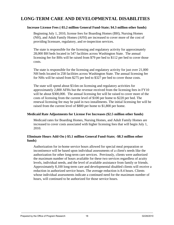# **LONG-TERM CARE AND DEVELOPMENTAL DISABILITIES**

#### **Increase License Fees (-\$5.2 million General Fund-State; \$4.3 million other funds)**

Beginning July 1, 2010, license fees for Boarding Homes (BH), Nursing Homes (NH), and Adult Family Homes (AFH) are increased to cover more of the cost of providing licensure, regulatory, and re-inspection services.

The state is responsible for the licensing and regulatory activity for approximately 28,000 BH beds located in 547 facilities across Washington State. The annual licensing fee for BHs will be raised from \$79 per bed to \$112 per bed to cover those costs.

The state is responsible for the licensing and regulatory activity for just over 21,000 NH beds located in 258 facilities across Washington State. The annual licensing fee for NHs will be raised from \$275 per bed to \$327 per bed to cover those costs.

The state will spend about \$3.6m on licensing and regulatory activities for approximately 2,800 AFHs but the revenue received from the licensing fees in FY10 will be about \$300,000. The annual licensing fee will be raised to cover more of the costs of licensing from the current level of \$100 per home to \$220 per bed. The renewal licensing fee may be paid in two installments. The initial licensing fee will be raised from the current level of \$800 per home to \$1,800 per home.

#### **Medicaid Rate Adjustments for License Fee Increases (\$2.5 million other funds)**

Medicaid rates for Boarding Homes, Nursing Homes, and Adult Family Homes are increased to cover costs associated with higher licensing fees that will begin July 1, 2010.

#### **Eliminate Hours Add-On (-\$5.1 million General Fund-State; -\$8.3 million other funds)**

Authorization for in-home service hours allowed for special meal preparation or incontinence will be based upon individual assessments of a client's needs like the authorization for other long-term care services. Previously, clients were authorized the maximum number of hours available for these two services regardless of acuity levels, individual needs, and the level of available assistance from family or friends. Approximately 8,100 long-term care and developmental disabled clients will receive a reduction in authorized service hours. The average reduction is 8.4 hours. Clients whose individual assessments indicate a continued need for the maximum number of hours, will continued to be authorized for those service hours.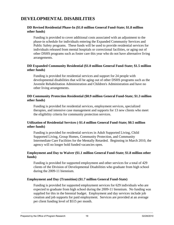# **DEVELOPMENTAL DISABILITIES**

#### **DD Revised Residential Phase-In (\$1.0 million General Fund-State; \$1.8 million other funds)**

Funding is provided to cover additional costs associated with an adjustment to the phase-in schedule for individuals entering the Expanded Community Services and Public Safety programs. These funds will be used to provide residential services for individuals released from mental hospitals or correctional facilities, or aging out of other DSHS programs such as foster care this year who do not have alternative living arrangements.

#### **DD Expanded Community Residential (\$1.0 million General Fund-State; \$1.5 million other funds)**

Funding is provided for residential services and support for 24 people with developmental disabilities that will be aging out of other DSHS programs such as the Juvenile Rehabilitation Administration and Children's Administration and have no other living arrangements.

#### **DD Community Protection Residential (\$0.9 million General Fund-State; \$1.3 million other funds)**

Funding is provided for residential services, employment services, specialized therapies, and intensive case management and supports for 13 new clients who meet the eligibility criteria for community protection services.

#### **Utilization of Residential Services (-\$1.4 million General Fund-State; \$0.5 million other funds)**

Funding is provided for residential services in Adult Supported Living, Child Supported Living, Group Homes, Community Protection, and Community Intermediate Care Facilities for the Mentally Retarded. Beginning in March 2010, the agency will no longer hold funded vacancies open.

#### **Employment and Day to Waiver (\$1.1 million General Fund-State; \$1.8 million other funds)**

Funding is provided for supported employment and other services for a total of 429 clients of the Division of Developmental Disabilities who graduate from high school during the 2009-11 biennium.

#### **Employment and Day (Transition) (\$1.7 million General Fund-State)**

Funding is provided for supported employment services for 629 individuals who are expected to graduate from high school during the 2009-11 biennium. No funding was supplied for this in the biennial budget. Employment and day services include job creation and job supports for paid employment. Services are provided at an average per client funding level of \$515 per month.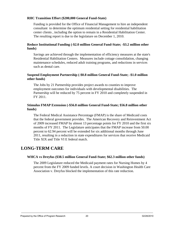#### **RHC Transition Effort (\$200,000 General Fund-State)**

Funding is provided for the Office of Financial Management to hire an independent consultant to determine the optimum residential setting for residential habilitation center clients , including the option to remain in a Residential Habilitation Center. The resulting report is due to the legislature on December 1, 2010.

#### **Reduce Institutional Funding (-\$2.0 million General Fund-State; -\$3.2 million other funds)**

Savings are achieved through the implementation of efficiency measures at the state's Residential Habilitation Centers. Measures include cottage consolidation, changing maintenance schedules, reduced adult training programs, and reductions in services such as dental care.

#### **Suspend Employment Partnership (-\$0.8 million General Fund-State; -\$1.0 million other funds)**

The Jobs by 21 Partnership provides project awards to counties to improve employment outcomes for individuals with developmental disabilities. The Partnership will be reduced by 75 percent in FY 2010 and completely suspended in FY 2011.

#### **Stimulus FMAP Extension (-\$56.8 million General Fund-State; \$56.8 million other funds)**

The Federal Medical Assistance Percentage (FMAP) is the share of Medicaid costs that the federal government provides. The American Recovery and Reinvestment Act of 2009 increased FMAP by almost 13 percentage points for FY 2010 and the first six months of FY 2011. The Legislature anticipates that the FMAP increase from 50.00 percent to 62.94 percent will be extended for six additional months through June 2011, resulting in a reduction in state expenditures for services that receive Medicaid Title XIX and Title VI E federal match.

### **LONG-TERM CARE**

#### **WHCA vs Dreyfus (\$38.5 million General Fund-State; \$62.3 million other funds)**

The 2009 Legislature reduced the Medicaid payment rates for Nursing Homes by 4 percent from the FY 2009 funded levels. A court decision in Washington Health Care Association v. Dreyfus blocked the implementation of this rate reduction.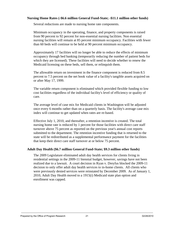#### **Nursing Home Rates (-\$6.6 million General Fund-State; -\$11.1 million other funds)**

Several reductions are made to nursing home rate components.

Minimum occupancy in the operating, finance, and property components is raised from 90 percent to 92 percent for non-essential nursing facilities. Non essential nursing facilities will remain at 85 percent minimum occupancy. Facilities with fewer than 60 beds will continue to be held at 90 percent minimum occupancy.

Approximately 17 facilities will no longer be able to reduce the effects of minimum occupancy through bed banking (temporarily reducing the number of patient beds for which they are licensed). These facilities will need to decide whether to renew the Medicaid licensing on these beds, sell them, or relinquish them.

The allowable return on investment in the finance component is reduced from 8.5 percent to 7.5 percent on the net book value of a facility's tangible assets acquired on or after May 17, 1999.

The variable return component is eliminated which provided flexible funding to low cost facilities regardless of the individual facility's level of efficiency or quality of care.

The average level of case mix for Medicaid clients in Washington will be adjusted once every 6 months rather than on a quarterly basis. The facility's average case mix index will continue to get updated when rates are re-based.

Effective July 1, 2010, and thereafter, a retention incentive is created. The total nursing home rate is reduced by 1 percent for those facilities with direct care staff turnover above 75 percent as reported on the previous year's annual cost reports submitted to the department. The retention incentive funding that is returned to the state will be redistributed as a supplemental performance payment for the facilities that keep their direct care staff turnover at or below 75 percent.

#### **Adult Day Health (\$6.7 million General Fund-State; \$9.3 million other funds)**

The 2009 Legislature eliminated adult day health services for clients living in residential settings in the 2009-11 biennial budget, however, savings have not been realized due to a lawsuit. A court decision in Ryan v. Dreyfus blocked the 2009-11 decision to only offer adult day health services to in-home clients. All clients who were previously denied services were reinstated by December 2009. As of January 1, 2010, Adult Day Health moved to a 1915(i) Medicaid state plan option and enrollment was capped.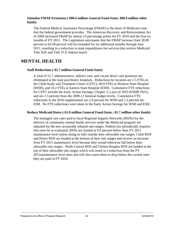#### **Stimulus FMAP Extension (-\$90.4 million General Fund-State; \$90.4 million other funds)**

The Federal Medical Assistance Percentage (FMAP) is the share of Medicaid costs that the federal government provides. The American Recovery and Reinvestment Act of 2009 increased FMAP by almost 13 percentage points for FY 2010 and the first six months of FY 2011. The Legislature anticipates that the FMAP increase from 50.00 percent to 62.94 percent will be extended for six additional months through June 2011, resulting in a reduction in state expenditures for services that receive Medicaid Title XIX and Title VI E federal match.

# **MENTAL HEALTH**

#### **Staff Reductions (-\$5.7 million General Fund-State)**

A total of 51.7 administrative, indirect care, and vacant direct care positions are eliminated at the state psychiatric hospitals. Reductions by location are 1.5 FTEs at the Child Study and Treatment Center (CSTC), 40.0 FTEs at Western State Hospital (WSH), and 10.2 FTEs at Eastern State Hospital (ESH). Cumulative FTE reductions for CSTC include the Early Action Savings, Chapter 3, Laws of 2010 (ESHB 2921), and are 2.5 percent from the 2009-11 biennial budget levels. Cumulative FTE reductions in the 2010 supplemental are 2.0 percent for WSH and 1.3 percent for ESH. No FTE reductions were taken in the Early Action Savings for WSH and ESH.

#### **Reduce Medicaid Rates (-\$1.0 million General Fund-State; -\$1.7 million other funds)**

The managed care rates paid to local Regional Support Networks (RSNs) for the delivery of community mental health services under the Medicaid program are adjusted for the new actuarially rebased rate ranges. Federal law periodically requires that rates be re-evaluated. RSNs are funded at 0.9 percent below their FY 2011 maintenance level unless doing so falls outside their allowable rate ranges. Clark RSN and Pierce RSN are funded at the bottom of their rate ranges and receive an increase from FY 2011 maintenance level because they would otherwise fall below their allowable rate ranges. North Central RSN and Chelan Douglas RSN are funded at the top of their allowable rate ranges which will result in a reduction from the FY 2011maintenance level rates and will also cause them to drop below the current rates they are paid in FY 2010.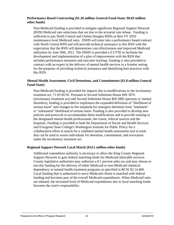#### **Performance Based Contracting (\$1.28 million General Fund-State; \$0.03 million other funds)**

Non-Medicaid funding is provided to mitigate significant Regional Support Network (RSN) Medicaid rate reductions that are due to the actuarial rate rebase. Funding is sufficient to pay North Central and Chelan Douglas RSNs at their FY 2010 maintenance level Medicaid rates. DSHS will enter into a performance based contract with North Central RSN and will provide technical assistance to this RSN with the expectation that the RSN will demonstrate cost effectiveness and improved Medicaid utilization by June 30th, 2011. The DSHS is provided a 0.5 FTE to facilitate the development and implementation of a plan of improvement with the RSN that includes performance measures and outcome tracking. Funding is also provided to contract with an expert in the delivery of mental health services in a frontier setting for the purposes of providing technical assistance and identifying best practices with this RSN.

#### **Mental Health Assessment, Civil Detentions, and Commitments (\$1.8 million General Fund-State)**

Non-Medicaid funding is provided for impacts due to modifications to the involuntary treatment act, 71.05 RCW. Pursuant to Second Substitute House Bill 3076 (involuntary treatment act) and Second Substitute House Bill 2882 (persons w/ mental disorders), funding is provided to implement the expanded definition of "likelihood of serious harm" and changes to the standards for emergent detention from "imminent" to "substantial" likelihood of serious harm. Funding is also provided to develop new policies and protocols to accommodate these modifications and to provide training to the designated mental health professionals, the courts, referral sources and the hospitals. Funding is provided to both the Department of Social and Health Services and Evergreen State College's Washington Institute for Public Policy for a collaborative effort to search for a validated mental health assessment tool or tools that can be used to assess individuals for detention, commitment, and revocation under the involuntary treatment act.

#### **Regional Support Network Local Match (\$14.1 million other funds)**

Additional expenditure authority is necessary to allow the King County Regional Support Network to gain federal matching funds for Medicaid allowable services. County legislative authorities may authorize a 0.1 percent sales tax and may choose to use this funding for the delivery of either Medicaid or non-Medicaid chemical dependency or mental health treatment programs as specified in RCW 82.14.460. Local funding that is authorized to serve Medicaid clients is matched with federal funding and becomes part of the overall Medicaid expenditures. When Medicaid rates are rebased, the increased level of Medicaid expenditures due to local matching funds becomes the state's responsibility.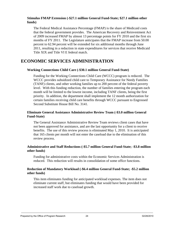#### **Stimulus FMAP Extension (-\$27.1 million General Fund-State; \$27.1 million other funds)**

The Federal Medical Assistance Percentage (FMAP) is the share of Medicaid costs that the federal government provides. The American Recovery and Reinvestment Act of 2009 increased FMAP by almost 13 percentage points for FY 2010 and the first six months of FY 2011. The Legislature anticipates that the FMAP increase from 50.00 percent to 62.94 percent will be extended for six additional months through June 2011, resulting in a reduction in state expenditures for services that receive Medicaid Title XIX and Title VI E federal match.

# **ECONOMIC SERVICES ADMINISTRATION**

#### **Working Connections Child Care (-\$30.1 million General Fund-State)**

Funding for the Working Connections Child Care (WCCC) program is reduced. The WCCC provides subsidized child care to Temporary Assistance for Needy Families (TANF) clients, and other working families up to 200 percent of the federal poverty level. With this funding reduction, the number of families entering the program each month will be limited to the lowest income, including TANF clients, being the first priority. In addition, the department shall implement the 12 month authorization for certain families receiving child care benefits through WCCC pursuant to Engrossed Second Substitute House Bill No. 3141.

#### **Eliminate General Assistance Administrative Review Team (-\$3.0 million General Fund-State)**

The General Assistance Administrative Review Team reviews client cases that have not been approved for assistance, and are the last opportunity for a client to receive benefits. The use of this review process is eliminated May 1, 2010. It is anticipated that 165 clients per month will not enter the caseload due to the elimination of this review process.

#### **Administrative and Staff Reductions (-\$5.7 million General Fund-State; -\$3.8 million other funds)**

Funding for administrative costs within the Economic Services Administration is reduced. This reduction will results in consolidation of some office functions.

#### **Reduction of Mandatory Workload (-\$6.4 million General Fund-State; -\$5.2 million other funds)**

This item eliminates funding for anticipated workload expenses. The item does not eliminate current staff, but eliminates funding that would have been provided for increased staff work due to caseload growth.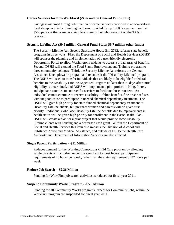#### **Career Services for Non-WorkFirst (-\$3.6 million General Fund-State)**

Savings is assumed through elimination of career services provided to non-WorkFirst food stamp recipients. Funding had been provided for up to 600 cases per month at \$500 per case that were receiving food stamps, but who were not on the TANF caseload.

#### **Security Lifeline Act (\$0.5 million General Fund-State; \$9.7 million other funds)**

The Security Lifeline Act, Second Substitute House Bill 2782, reforms state benefit programs in three ways. First, the Department of Social and Health Services (DSHS) will sponsor the planning and implementation of a user-friendly electronic Opportunity Portal to allow Washington residents to access a broad array of benefits. Second, DSHS will expand the Food Stamp Employment and Training program to three community colleges. Third, the Security Lifeline Act reforms the General Assistance Unemployable program and renames it the "Disability Lifeline" program. The DSHS will seek to transfer individuals that are likely to be eligible for federal benefits to the Disability Lifeline Expedited Program no later than 90 days after initial eligibility is determined, and DSHS will implement a pilot project in King, Pierce, and Spokane counties to contract for services to facilitate those transfers. An individual cannot continue to receive Disability Lifeline benefits if he or she refuses without good cause to participate in needed chemical dependency treatment. The DSHS will give high priority for state-funded chemical dependency treatment to Disability Lifeline clients, but pregnant women and parents will be given first priority. Individuals who lose Disability Lifeline benefits due to improvements in health status will be given high priority for enrollment in the Basic Health Plan. DSHS will create a plan for a pilot project that would provide some Disability Lifeline clients with housing and a decreased cash grant. Within the Department of Social and Health Services this item also impacts the Division of Alcohol and Substance Abuse and Medical Assistance, and outside of DSHS the Health Care Authority and Department of Information Services are also affected.

#### **Single Parent Participation - -\$11 Million**

Reduces demand for the Working Connections Child Care program by allowing single parents with children under the age of six to meet federal participation requirements of 20 hours per week, rather than the state requirement of 32 hours per week.

#### **Reduce Job Search - -\$2.36 Million**

Funding for WorkFirst job search activities is reduced for fiscal year 2011.

#### **Suspend Community Works Program - -\$5.5 Million**

Funding for all Community Works programs, except for Community Jobs, within the WorkFirst program are suspended for fiscal year 2011.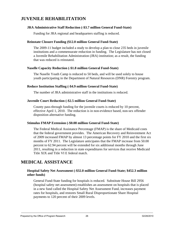# **JUVENILE REHABILITATION**

#### **JRA Administrative Staff Reduction (-\$3.7 million General Fund-State)**

Funding for JRA regional and headquarters staffing is reduced.

#### **Reinstate Closure Funding (\$12.0 million General Fund-State)**

The 2009-11 budget included a study to develop a plan to close 235 beds in juvenile institutions and a commensurate reduction in funding. The Legislature has not closed a Juvenile Rehabilitation Administration (JRA) institution; as a result, the funding that was reduced is reinstated.

#### **Naselle Capacity Reduction (-\$1.8 million General Fund-State)**

The Naselle Youth Camp is reduced to 50 beds, and will be used solely to house youth participating in the Department of Natural Resources (DNR) Forestry program.

#### **Reduce Institution Staffing (-\$4.9 million General Fund-State)**

The number of JRA administrative staff in the institutions is reduced.

#### **Juvenile Court Reduction (-\$2.5 million General Fund-State)**

County pass-through funding for the juvenile courts is reduced by 10 percent, effective April 1, 2010. The reduction is in non-evidence based, non-sex offender disposition alternative funding.

#### **Stimulus FMAP Extension (-\$0.08 million General Fund-State)**

The Federal Medical Assistance Percentage (FMAP) is the share of Medicaid costs that the federal government provides. The American Recovery and Reinvestment Act of 2009 increased FMAP by almost 13 percentage points for FY 2010 and the first six months of FY 2011. The Legislature anticipates that the FMAP increase from 50.00 percent to 62.94 percent will be extended for six additional months through June 2011, resulting in a reduction in state expenditures for services that receive Medicaid Title XIX and Title VI E federal match.

# **MEDICAL ASSISTANCE**

#### **Hospital Safety Net Assessment (-\$32.0 million General Fund-State; \$452.3 million other funds)**

General Fund-State funding for hospitals is reduced. Substitute House Bill 2956 (hospital safety net assessment) establishes an assessment on hospitals that is placed in a new fund called the Hospital Safety Net Assessment Fund, increases payment rates for hospitals, and restores Small Rural Disproportionate Share Hospital payments to 120 percent of their 2009 levels.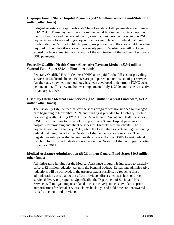#### **Disproportionate Share Hospital Payments (-\$12.6 million General Fund-State; \$11 million other funds)**

Indigent Assistance Disproportionate Share Hospital (DSH) payments are eliminated in FY 2011. These payments provide supplemental funding to hospitals based on their profitability and the level of charity care that they provide. Washington DSH payments were forecasted to go beyond the maximum level for federal matching funds under the Certified Public Expenditures program, and the state would have been required to fund the difference with state-only grants. Washington will no longer exceed the federal maximum as a result of the elimination of the Indigent Assistance DSH payments.

#### **Federally Qualified Health Center Alternative Payment Method (\$39.9 million General Fund-State; \$55.4 million other funds)**

Federally Qualified Health Centers (FQHCs) are paid for the full cost of providing services to Medicaid clients. FQHCs are paid per encounter instead of per service. An alternative payment methodology has been developed to determine FQHC costs per encounter. This new method was implemented July 1, 2009 and made retroactive to January 1, 2009.

#### **Disability Lifeline Medical Care Services (\$12.8 million General Fund-State; \$21.2 million other funds)**

The Disability Lifeline medical care services program was transitioned to managed care beginning in November, 2009, and funding is provided for Disability Lifeline caseload growth. During FY 2011, the Department of Social and Health Services (DSHS) will continue to provide Disproportionate Share Hospital payments to hospitals for providing outpatient services to Disability Lifeline clients. These payments will end in January, 2011, when the Legislature expects to begin receiving federal matching funds for the Disability Lifeline medical care services. The Legislature anticipates that federal health reform will allow DSHS to seek federal matching funds for individuals covered under the Disability Lifeline program starting in January, 2011.

#### **Medical Assistance Administration (\$10.8 million General Fund-State; \$10.8 million other funds)**

Administrative funding for the Medical Assistance program is increased to partially offset a \$2 million reduction taken in the biennial budget. Remaining administrative reductions will be achieved, to the greatest extent possible, by reducing those administrative costs that do not affect providers, direct client services, or direct service delivery or programs. Specifically, the Department of Social and Health Services will mitigate impacts related to cost recovery and cost avoidance, prior authorizations for dental services, claims backlogs, and hold times or unanswered calls from clients and providers.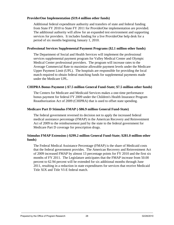#### **ProviderOne Implementation (\$19.4 million other funds)**

Additional federal expenditure authority and transfers of state and federal funding from State FY 2010 to State FY 2011 for ProviderOne implementation are provided. The additional authority will allow for an expanded test environment and supporting services for providers. It includes funding for a live ProviderOne help desk for a period of six months beginning January 1, 2010.

#### **Professional Services Supplemental Payment Programs (\$2.1 million other funds)**

The Department of Social and Health Services will implement the professional services supplemental payment program for Valley Medical Center and Olympic Medical Center professional providers. The program will increase rates to the Average Commercial Rate to maximize allowable payment levels under the Medicare Upper Payment Limit (UPL). The hospitals are responsible for providing the local match required to obtain federal matching funds for supplemental payments made under the Medicare UPL.

#### **CHIPRA Bonus Payment (-\$7.5 million General Fund-State; \$7.5 million other funds)**

The Centers for Medicare and Medicaid Services makes a one-time performance bonus payment for federal FY 2009 under the Children's Health Insurance Program Reauthorization Act of 2009 (CHIPRA) that is used to offset state spending.

#### **Medicare Part D Stimulus FMAP (-\$86.9 million General Fund-State)**

The federal government reversed its decision not to apply the increased federal medical assistance percentage (FMAP) in the American Recovery and Reinvestment Act of 2009 to the reimbursement paid by the state to the federal government for Medicare Part D coverage for prescription drugs.

#### **Stimulus FMAP Extension (-\$299.2 million General Fund-State; \$281.0 million other funds)**

The Federal Medical Assistance Percentage (FMAP) is the share of Medicaid costs that the federal government provides. The American Recovery and Reinvestment Act of 2009 increased FMAP by almost 13 percentage points for FY 2010 and the first six months of FY 2011. The Legislature anticipates that the FMAP increase from 50.00 percent to 62.94 percent will be extended for six additional months through June 2011, resulting in a reduction in state expenditures for services that receive Medicaid Title XIX and Title VI-E federal match.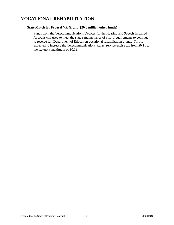# **VOCATIONAL REHABILITATION**

#### **State Match for Federal VR Grant (\$20.0 million other funds)**

Funds from the Telecommunications Devices for the Hearing and Speech Impaired Account will used to meet the state's maintenance of effort requirements to continue to receive full Department of Education vocational rehabilitation grants. This is expected to increase the Telecommunications Relay Service excise tax from \$0.11 to the statutory maximum of \$0.19.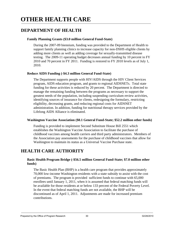# **OTHER HEALTH CARE**

# **DEPARTMENT OF HEALTH**

#### **Family Planning Grants (\$3.0 million General Fund-State)**

During the 2007-09 biennium, funding was provided to the Department of Health to support family planning clinics to increase capacity for non-DSHS eligible clients by adding more clients as well as adding coverage for sexually-transmitted disease testing. The 2009-11 operating budget decreases annual funding by 10 percent in FY 2010 and 70 percent in FY 2011. Funding is restored to FY 2010 levels as of July 1, 2010.

#### **Reduce AIDS Funding (-\$4.3 million General Fund-State)**

The Department supports people with HIV/AIDS through the HIV Client Services program, AIDS education program, and grants to regional AIDSNETs. Total state funding for these activities is reduced by 20 percent. The Department is directed to manage the remaining funding between the programs as necessary to support the greatest needs of the population, including suspending curriculum review activities, identifying sources of insurance for clients, redesigning the formulary, restricting eligibility, decreasing grants, and reducing regional costs for AIDSNET administration. In addition, funding for nutritional therapy services provided by the Lifelong AIDS Alliance is eliminated.

#### **Washington Vaccine Association (\$0.1 General Fund-State; \$52.2 million other funds)**

Funding is provided to implement Second Substitute House Bill 2551 which establishes the Washington Vaccine Association to facilitate the purchase of childhood vaccines among health carriers and third party administrators. Members of the Association pay assessments for the purchase of childhood vaccines that allow for Washington to maintain its status as a Universal Vaccine Purchase state.

# **HEALTH CARE AUTHORITY**

#### **Basic Health Program Bridge (-\$56.5 million General Fund-State; \$7.0 million other funds)**

The Basic Health Plan (BHP) is a health care program that provides approximately 70,000 low-income Washington residents with a state subsidy to assist with the cost of premiums. The program is provided sufficient funds to continue with 65,000 enrollees until January 1, 2011, when it is assumed that federal matching funds will be available for those residents at or below 133 percent of the Federal Poverty Level. In the event that federal matching funds are not available, the BHP will be discontinued as of April 1, 2011. Adjustments are made for increased premium contributions.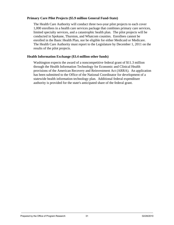#### **Primary Care Pilot Projects (\$5.9 million General Fund-State)**

The Health Care Authority will conduct three two-year pilot projects to each cover 1,000 enrollees in a health care services package that combines primary care services, limited specialty services, and a catastrophic health plan. The pilot projects will be conducted in Spokane, Thurston, and Whatcom counties. Enrollees cannot be enrolled in the Basic Health Plan, nor be eligible for either Medicaid or Medicare. The Health Care Authority must report to the Legislature by December 1, 2011 on the results of the pilot projects.

#### **Health Information Exchange (\$3.4 million other funds)**

Washington expects the award of a noncompetitive federal grant of \$11.3 million through the Health Information Technology for Economic and Clinical Health provisions of the American Recovery and Reinvestment Act (ARRA). An application has been submitted to the Office of the National Coordinator for development of a statewide health information technology plan. Additional federal expenditure authority is provided for the state's anticipated share of the federal grant.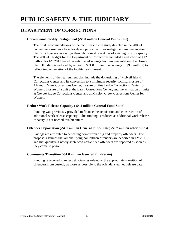# **PUBLIC SAFETY & THE JUDICIARY**

# **DEPARTMENT OF CORRECTIONS**

#### **Correctional Facility Realignment (-\$9.0 million General Fund-State)**

The final recommendations of the facilities closure study directed in the 2009-11 budget were used as a base for developing a facilities realignment implementation plan which generates savings through more efficient use of existing prison capacity. The 2009-11 budget for the Department of Corrections included a reduction of \$12 million for FY 2011 based on anticipated savings from implementation of a closure plan. Funding is reduced by a total of \$21.0 million (net savings of \$9.0 million) to reflect implementation of the facility realignment.

The elements of the realignment plan include the downsizing of McNeil Island Corrections Center and its conversion to a minimum security facility, closure of Ahtanum View Corrections Center, closure of Pine Lodge Corrections Center for Women, closure of a unit at the Larch Corrections Center, and the activation of units at Coyote Ridge Corrections Center and at Mission Creek Corrections Center for Women.

#### **Reduce Work Release Capacity (-\$4.2 million General Fund-State)**

Funding was previously provided to finance the acquisition and construction of additional work release capacity. This funding is reduced as additional work release capacity is not needed this biennium.

#### **Offender Deportation (-\$4.1 million General Fund-State; -\$0.7 million other funds)**

Savings are attributed to deporting non-citizen drug and property offenders. The proposal assumes that all qualifying non-citizen offenders are deported in FY 2011 and that qualifying newly-sentenced non-citizen offenders are deported as soon as they come to prison.

#### **Community Transition (-\$1.0 million General Fund-State)**

Funding is reduced to reflect efficiencies related to the appropriate transition of offenders from custody as close as possible to the offender's earned release date.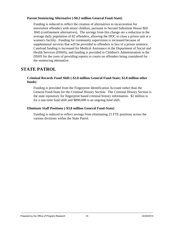#### **Parent Sentencing Alternative (-\$0.2 million General Fund-State)**

Funding is reduced to reflect the creation of alternatives to incarceration for nonviolent offenders with minor children, pursuant to Second Substitute House Bill 3045 (confinement alternatives). The savings from this change are a reduction in the average daily population of 82 offenders, allowing the DOC to close a prison unit at a women's facility. Funding for community supervision is increased because of supplemental services that will be provided to offenders in lieu of a prison sentence. Caseload funding is increased for Medical Assistance in the Department of Social and Health Services (DSHS), and funding is provided to Children's Administration in the DSHS for the costs of providing reports to courts on offenders being considered for the sentencing alternative.

# **STATE PATROL**

#### **Criminal Records Fund Shift (-\$2.8 million General Fund-State; \$2.8 million other funds)**

Funding is provided from the Fingerprint Identification Account rather than the General Fund-State for the Criminal History Section. The Criminal History Section is the state repository for fingerprint based criminal history information. \$2 million is for a one-time fund shift and \$800,000 is an ongoing fund shift.

#### **Eliminate Staff Positions (-\$3.8 million General Fund-State)**

Funding is reduced to reflect savings from eliminating 25 FTE positions across the various divisions within the State Patrol.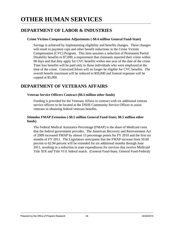# **OTHER HUMAN SERVICES**

# **DEPARTMENT OF LABOR & INDUSTRIES**

#### **Crime Victims Compensation Adjustments (-\$0.4 million General Fund-State)**

Savings is achieved by implementing eligibility and benefits changes. These changes will result in payment caps and other benefit reductions in the Crime Victims Compensation (CVC) Program. This item assumes a reduction of Permanent Partial Disability benefits to \$7,000, a requirement that claimants reported their crime within 90 days and that they apply for CVC benefits within one year of the date of the crime. Time loss benefits will be paid only to those individuals who were employed at the time of the crime. Convicted felons will no longer be eligible for CVC benefits. The overall benefit maximum will be reduced to \$50,000 and funeral expenses will be capped at \$5,000.

# **DEPARTMENT OF VETERANS AFFAIRS**

#### **Veteran Service Officers Contract (\$0.3 million other funds)**

Funding is provided for the Veterans Affairs to contract with six additional veteran service officers to be located at the DSHS Community Service Offices to assist veterans in obtaining federal veterans benefits.

#### **Stimulus FMAP Extension (-\$0.5 million General Fund-State; \$0.5 million other funds)**

The Federal Medical Assistance Percentage (FMAP) is the share of Medicaid costs that the federal government provides. The American Recovery and Reinvestment Act of 2009 increased FMAP by almost 13 percentage points for FY 2010 and the first six months of FY 2011. The Legislature anticipates that the FMAP increase from 50.00 percent to 62.94 percent will be extended for six additional months through June 2011, resulting in a reduction in state expenditures for services that receive Medicaid Title XIX and Title VI E federal match. (General Fund-State, General Fund-Federal)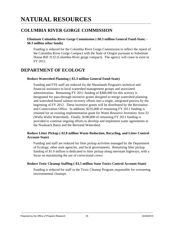# **NATURAL RESOURCES**

# **COLUMBIA RIVER GORGE COMMISSION**

#### **Eliminate Columbia River Gorge Commission (-\$0.3 million General Fund-State; - \$0.3 million other funds)**

Funding is reduced for the Columbia River Gorge Commission to reflect the repeal of the Columbia River Gorge Compact with the State of Oregon pursuant to Substitute House Bill 3132 (Columbia River gorge compact). The agency will cease to exist in FY 2011.

# **DEPARTMENT OF ECOLOGY**

#### **Reduce Watershed Planning (-\$5.3 million General Fund-State)**

Funding and FTE staff are reduced for the Shorelands Program's technical and financial assistance to local watershed management groups and associated administration. Remaining FY 2011 funding of \$300,000 for this activity is designated for pass-through incentive grants designed to merge watershed planning and watershed-based salmon recovery efforts into a single, integrated process by the beginning of FY 2012. These incentive grants will be distributed by the Recreation and Conservation Office. In addition, \$235,000 of remaining FY 2011 funding is retained for an existing implementation grant for Water Resource Inventory Area 32 (Walla Walla Watershed). Finally, \$100,000 of remaining FY 2011 funding is provided to continue ongoing efforts to develop and implement water agreements in the Nooksack Basin and the Bertrand Watershed.

#### **Reduce Litter Pickup (-\$2.0 million Waste Reduction, Recycling, and Litter Control Account-State)**

Funding and staff are reduced for litter pickup activities managed by the Department of Ecology, other state agencies, and local governments. Remaining litter pickup funding of \$1.0 million is dedicated to litter pickup along interstate highways, with a focus on maximizing the use of correctional crews.

#### **Reduce Toxic Cleanup Staffing (-\$3.5 million State Toxics Control Account-State)**

Funding is reduced for staff in the Toxic Cleanup Program responsible for overseeing environmental cleanups.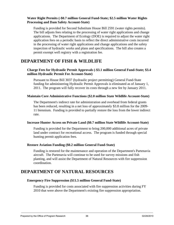#### **Water Right Permits (-\$0.7 million General Fund-State; \$2.5 million Water Rights Processing and Dam Safety Account-State)**

Funding is provided for Second Substitute House Bill 2591 (water rights permits). The bill adjusts fees relating to the processing of water right applications and change applications. The Department of Ecology (DOE) is required to adjust the water right application fees on a periodic basis to reflect the direct administrative costs incurred in the processing of water right applications and change applications and the safety inspection of hydraulic works and plans and specifications. The bill also creates a permit exempt well registry with a registration fee.

# **DEPARTMENT OF FISH & WILDLIFE**

#### **Charge Fees for Hydraulic Permit Approvals (-\$3.1 million General Fund-State; \$3.4 million Hydraulic Permit Fee Account-State)**

Pursuant to House Bill 3037 (hydraulic project permitting) General Fund-State funding for administering Hydraulic Permit Approvals is eliminated as of January 1, 2011. The program will fully recover its costs through a new fee by January 2011.

#### **Maintain Core Administrative Functions (\$2.0 million State Wildlife Account-State)**

The Department's indirect rate for administration and overhead from federal grants has been reduced, resulting in a net loss of approximately \$3.8 million for the 2009- 11 biennium. Funding is provided to partially restore the loss from the lower indirect rate.

#### **Increase Hunter Access on Private Land (\$0.7 million State Wildlife Account-State)**

Funding is provided for the Department to bring 200,000 additional acres of private land under contract for recreational access. The program is funded through special hunting permit application fees.

#### **Restore Aviation Funding (\$0.2 million General Fund-State)**

Funding is restored for the maintenance and operation of the Department's Partenavia aircraft. The Partenavia will continue to be used for survey missions and fish planting, and will assist the Department of Natural Resources with fire suppression coordination.

### **DEPARTMENT OF NATURAL RESOURCES**

#### **Emergency Fire Suppression (\$11.5 million General Fund-State)**

Funding is provided for costs associated with fire suppression activities during FY 2010 that were above the Department's existing fire suppression appropriation.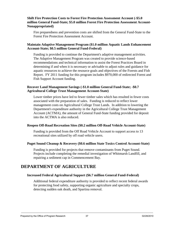#### **Shift Fire Protection Costs to Forest Fire Protection Assessment Account (-\$5.0 million General Fund-State; \$5.0 million Forest Fire Protection Assessment Account-Nonappropriated)**

Fire preparedness and prevention costs are shifted from the General Fund-State to the Forest Fire Protection Assessment Account.

#### **Maintain Adaptive Management Program (\$1.0 million Aquatic Lands Enhancement Account-State; \$0.5 million General Fund-Federal)**

Funding is provided to continue the Department's adaptive management activities. The Adaptive Management Program was created to provide science-based recommendations and technical information to assist the Forest Practices Board in determining if and when it is necessary or advisable to adjust rules and guidance for aquatic resources to achieve the resource goals and objectives of the Forests and Fish Report. FY 2011 funding for this program includes \$970,000 of redirected Forest and Fish Support Account funding.

#### **Recover Land Management Savings (-\$1.0 million General Fund-State; -\$0.7 Agricultural College Trust Management Account-State)**

Lower timber prices have led to fewer timber sales which has resulted in fewer costs associated with the preparation of sales. Funding is reduced to reflect lower management costs on Agricultural College Trust Lands. In addition to lowering the Department's expenditure authority in the Agricultural College Trust Management Account (ACTMA), the amount of General Fund-State funding provided for deposit into the ACTMA is also reduced.

#### **Reopen Off-Road Recreation Sites (\$0.2 million Off-Road Vehicle Account-State)**

Funding is provided from the Off Road Vehicle Account to support access to 13 recreational sites utilized by off road vehicle users.

#### **Puget Sound Cleanup & Recovery (\$0.6 million State Toxics Control Account-State)**

Funding is provided for projects that remove contaminants from Puget Sound. Projects include completing the remedial investigation of Whitmarsh Landfill, and repairing a sediment cap in Commencement Bay.

# **DEPARTMENT OF AGRICULTURE**

#### **Increased Federal Agricultural Support (\$6.7 million General Fund-Federal)**

Additional federal expenditure authority is provided to reflect recent federal awards for protecting food safety, supporting organic agriculture and specialty crops, detecting sudden oak death, and Spartina removal.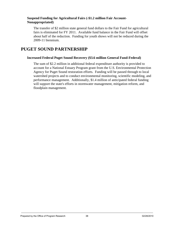#### **Suspend Funding for Agricultural Fairs (-\$1.2 million Fair Account-Nonappropriated)**

The transfer of \$2 million state general fund dollars to the Fair Fund for agricultural fairs is eliminated for FY 2011. Available fund balance in the Fair Fund will offset about half of the reduction. Funding for youth shows will not be reduced during the 2009-11 biennium.

# **PUGET SOUND PARTNERSHIP**

#### **Increased Federal Puget Sound Recovery (\$3.6 million General Fund-Federal)**

The sum of \$2.2 million in additional federal expenditure authority is provided to account for a National Estuary Program grant from the U.S. Environmental Protection Agency for Puget Sound restoration efforts. Funding will be passed through to local watershed projects and to conduct environmental monitoring, scientific modeling, and performance management. Additionally, \$1.4 million of anticipated federal funding will support the state's efforts in stormwater management, mitigation reform, and floodplain management.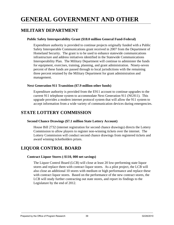# **GENERAL GOVERNMENT AND OTHER**

# **MILITARY DEPARTMENT**

#### **Public Safety Interoperability Grant (\$18.0 million General Fund-Federal)**

Expenditure authority is provided to continue projects originally funded with a Public Safety Interoperable Communications grant received in 2007 from the Department of Homeland Security. The grant is to be used to enhance statewide communications infrastructure and address initiatives identified in the Statewide Communications Interoperability Plan. The Military Department will continue to administer the funds for equipment, exercises, training, planning, and grant administration. Ninety-seven percent of these funds are passed through to local jurisdictions with the remaining three percent retained by the Military Department for grant administration and management.

#### **Next Generation 911 Transition (\$7.9 million other funds)**

Expenditure authority is provided from the E911 account to continue upgrades to the current 911 telephone system to accommodate Next Generation 911 (NG911). This upgrade provides a modern internet protocol system that will allow the 911 system to accept information from a wide variety of communication devices during emergencies.

# **STATE LOTTERY COMMISSION**

#### **Second Chance Drawings (\$7.1 million State Lottery Account)**

House Bill 2732 (internet registration for second chance drawings) directs the Lottery Commission to allow players to register non-winning tickets over the internet. The Lottery Commission will conduct second chance drawings from registered tickets and award winning ticketholders prizes.

# **LIQUOR CONTROL BOARD**

#### **Contract Liquor Stores (-\$110, 000 net savings)**

The Liquor Control Board (LCB) will close at least 20 low-performing state liquor stores and replace them with contract liquor stores. As a pilot project, the LCB will also close an additional 10 stores with medium or high performance and replace these with contract liquor stores. Based on the performance of the new contract stores, the LCB will study further contracting out state stores, and report its findings to the Legislature by the end of 2012.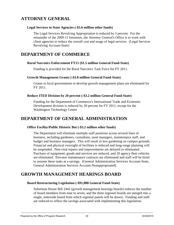# **ATTORNEY GENERAL**

#### **Legal Services to State Agencies (-\$5.6 million other funds)**

The Legal Services Revolving Appropriation is reduced by 5 percent. For the remainder of the 2009-11 biennium, the Attorney General's Office is to work with client agencies to reduce the overall cost and usage of legal services. (Legal Services Revolving Account-State)

# **DEPARTMENT OF COMMERCE**

#### **Rural Narcotics Enforcement FY11 (\$1.5 million General Fund-State)**

Funding is provided for the Rural Narcotics Task Force for FY 2011.

#### **Growth Management Grants (-\$3.8 million General Fund-State)**

Grants to local governments to develop growth management plans are eliminated for FY 2011.

#### **Reduce ITED Division by 20 percent (-\$3.2 million General Fund-State)**

Funding for the Department of Commerce's International Trade and Economic Development division is reduced by 20 percent for FY 2011, except for the Washington Technology Center

# **DEPARTMENT OF GENERAL ADMINISTRATION**

#### **Office Facility/Public Historic Bui (-\$3.2 million other funds)**

The Department will eliminate multiple staff positions across several lines of business, including gardeners, custodians, asset managers, maintenance staff, and budget and business managers. This will result in less gardening on campus grounds. Financial and physical oversight of facilities is reduced and long-range planning will be suspended. Non-vital repairs and improvements are delayed or eliminated. Purchase of equipment, goods and services are reduced, and 20 agency fleet vehicles are eliminated. Elevator maintenance contracts are eliminated and staff will be hired to assume these tasks at a savings. (General Administration Services Account-State, General Administration Services Account-Nonappropriated)

# **GROWTH MANAGEMENT HEARINGS BOARD**

#### **Board Restructuring Legislation (-\$91,000 General Fund-State)**

Substitute House Bill 2442 (growth management hearings boards) reduces the number of board members from nine to seven, and the three regional boards are merged into a single, statewide board from which regional panels will be drawn. Funding and staff are reduced to reflect the savings associated with implementing this legislation.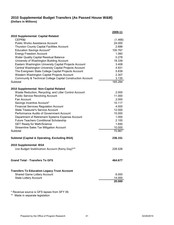#### **2010 Supplemental Budget Transfers (As Passed House W&M) (Dollars in Millions)**

|                                                            | 2009-11 |
|------------------------------------------------------------|---------|
| 2010 Supplemental: Capital Related                         |         |
| CEPR&I                                                     | (1.468) |
| <b>Public Works Assistance Account</b>                     | 24.000  |
| <b>Thurston County Capital Facilities Account</b>          | 2.688   |
| <b>Education Savings Account*</b>                          | 100.767 |
| <b>Energy Freedom Account</b>                              | 1.060   |
| <b>Water Quality Capital Residual Balance</b>              | 0.278   |
| University of Washington Building Account                  | 18.339  |
| Eastern Washington University Capital Projects Account     | 3.408   |
| Central Washington University Capital Projects Account     | 4.931   |
| The Evergreen State College Capital Projects Account       | 5.839   |
| Western Washington Capital Projects Account                | 2.307   |
| Community & Technical College Capital Construction Account | 3.135   |
| Subtotal                                                   | 165.284 |
| 2010 Supplemental: Non-Capital Related                     |         |
| Waste Reduction, Recycling, and Litter Control Account     | 2.000   |
| <b>Public Service Revolving Account</b>                    | 11.000  |
| <b>Fair Account</b>                                        | 2.000   |
| Savings Incentive Account*                                 | 10.117  |
| <b>Financial Services Regulation Account</b>               | 4.000   |
| <b>State Treasurer's Service Account</b>                   | 12.000  |
| <b>Performance Audits of Government Account</b>            | 15.000  |
| Department of Retirement Systems Expense Account           | 1.000   |
| Future Teachers Conditional Scholarship                    | 2.100   |
| <b>GET Ready for Math/Science</b>                          | 1.650   |
| <b>Streamline Sales Tax Mitigation Account</b>             | 10.000  |
| Subtotal                                                   | 70.867  |
| <b>Subtotal (Capital &amp; Operating, Excluding BSA)</b>   | 236.151 |
| 2010 Supplemental: BSA                                     |         |
| Use Budget Stabilization Account (Rainy Day)**             | 228.526 |
|                                                            |         |
| <b>Grand Total - Transfers To GFS</b>                      | 464.677 |
| <b>Transfers To Education Legacy Trust Account</b>         |         |
| <b>Shared Game Lottery Account</b>                         | 6.000   |
| <b>State Lottery Account</b>                               | 14.000  |
|                                                            | 20.000  |
|                                                            |         |

\* Revenue source is GFS lapses from SFY 09.

\*\* Made in separate legislation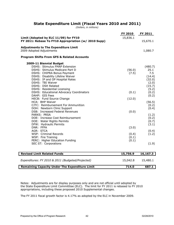#### **State Expenditure Limit (Fiscal Years 2010 and 2011)**

*(Dollars, in millions)*

|                                                                                               | FY 2010  | FY 2011  |
|-----------------------------------------------------------------------------------------------|----------|----------|
| Limit (Adopted by ELC 11/09) for FY10<br>FY 2011: Rebase To FY10 Appropriation (w/ 2010 Supp) | 15,836.1 | 15,670.1 |
| <b>Adjustments to The Expenditure Limit</b><br>2009 Adopted Adjustments                       |          | 1,080.7  |
| <b>Program Shifts From GFS &amp; Related Accounts</b>                                         |          |          |
| 2009-11 Biennial Budget                                                                       |          |          |
| <b>DSHS: Stimulus FMAP Extension</b>                                                          |          | (480.7)  |
| DSHS: Stimulus Medicare Part D                                                                | (56.0)   | 25.1     |
| DSHS: CHIPRA Bonus Payment                                                                    | (7.5)    | 7.5      |
| DSHS: Disability Lifeline Waiver                                                              |          | (14.4)   |
| DSHS: IP and OP Hospital Rates                                                                |          | (32.0)   |
| DSHS: TBI Waiver                                                                              |          | (2.0)    |
| DSHS: DSH Related                                                                             |          | (15.7)   |
| DSHS: Residential Licensing                                                                   |          | (5.2)    |
| DSHS: Educational Advocacy Coordinators                                                       | (0.1)    | (0.2)    |
| DAHP: GIS Fees                                                                                |          | (0.2)    |
| HECB: Fund Source Change                                                                      | (12.0)   |          |
| HCA: BHP Waiver                                                                               |          |          |
|                                                                                               |          | (56.5)   |
| CJTC: Reimbursement For Ammunition                                                            |          | (0.2)    |
| DOH: Newborn Clinic Support                                                                   |          | (0.4)    |
| DSB: Increased Federal Revenues                                                               | (0.0)    |          |
| PARKS: PRSA                                                                                   |          | (1.2)    |
| DOE: Increase Cost Reimbursement                                                              |          | (0.2)    |
| DOE: Water Rights Permits                                                                     |          | (0.7)    |
| DFW: Hydraulic Permits                                                                        |          | (3.1)    |
| DNR: FFPA                                                                                     | (3.0)    |          |
| AGR: STCA                                                                                     |          | (0.4)    |
| WSP: Criminal Records                                                                         | (0.4)    | (1.2)    |
| WSP: Fire Training                                                                            | (0.1)    |          |
| PERC: Higher Education Funding                                                                | (0.1)    |          |
| SEC ST: Corporations                                                                          |          | (1.9)    |
|                                                                                               |          |          |
| <b>Revised Limit Related Funds</b>                                                            | 15,756.9 | 16,167.3 |
| Expenditures: FY 2010 & 2011 (Budgeted/Projected)                                             | 15,042.8 | 15,480.1 |
|                                                                                               |          |          |

| <b>Remaining Capacity Under The Expenditure Limit</b> | 714.0 | 687.1 |
|-------------------------------------------------------|-------|-------|

Notes: Adjustments are for display purposes only and are not official until adopted by the State Expenditure Limit Committtee (ELC). The limit for FY 2011 is rebased to FY 2010 appropriations, including these proposed 2010 Supplemental changes.

The FY 2011 fiscal growth factor is 4.17% as adopted by the ELC in November 2009.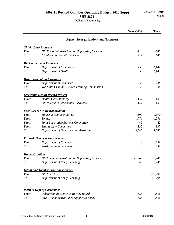|                        |                                                                                  | <b>Near GF-S</b> | <b>Total</b> |
|------------------------|----------------------------------------------------------------------------------|------------------|--------------|
|                        | <b>Agency Reorganizations and Transfers</b>                                      |                  |              |
|                        | <b>Child Abuse Program</b>                                                       |                  |              |
| From                   | <b>DSHS</b> - Administration and Supporting Services                             | $-214$           | $-645$       |
| <b>To</b>              | <b>Children and Family Services</b>                                              | 214              | 645          |
|                        | <b>DD Council and Endowment</b>                                                  |                  |              |
| From                   | Department of Commerce                                                           | $-57$            | $-2,149$     |
| <b>To</b>              | Department of Health                                                             | 57               | 2,149        |
|                        | <b>Drug Prosecution Assistance</b>                                               |                  |              |
| From                   | Department of Commerce                                                           | $-236$           | $-236$       |
| <b>To</b>              | WA State Criminal Justice Training Commission                                    | 236              | 236          |
|                        | <b>Electronic Health Record Project</b>                                          |                  |              |
| From                   | <b>Health Care Authorty</b>                                                      | $-137$           | $-137$       |
| <b>To</b>              | <b>DSHS Medical Assistance Payments</b>                                          | 137              | 137          |
|                        | <b>Facilities &amp; Svs Reorganization</b>                                       |                  |              |
| From                   | House of Representatives                                                         | $-1,590$         | $-1,590$     |
| From                   | Senate                                                                           | $-1,776$         | $-1,776$     |
| From                   | Joint Legislative Systems Committee                                              | $-42$            | $-42$        |
| From                   | <b>Statute Law Committee</b>                                                     | $-137$           | $-137$       |
| T <sub>0</sub>         | Department of General Administration                                             | 3,545            | 3,545        |
|                        | <b>Forensic Sciences Improvement</b>                                             |                  |              |
| From                   | Department of Commerce                                                           | $\boldsymbol{0}$ | $-288$       |
| <b>To</b>              | <b>Washington State Patrol</b>                                                   | $\boldsymbol{0}$ | 288          |
| <b>Home Visitation</b> |                                                                                  |                  |              |
| From                   | <b>DSHS</b> - Administration and Supporting Services                             | $-1,245$         | $-1,245$     |
| To                     | Department of Early Learning                                                     | 1,245            | 1,245        |
|                        | <b>Infant and Toddler Program Transfer</b>                                       |                  |              |
| From                   | <b>DSHS DD</b>                                                                   | $\boldsymbol{0}$ | $-16,795$    |
| To                     | Department of Early Learning                                                     | $\boldsymbol{0}$ | 16,795       |
|                        |                                                                                  |                  |              |
| <b>From</b>            | <b>ISRB</b> to Dept of Corrections<br><b>Indeterminate Sentence Review Board</b> | $-1,886$         | $-1,886$     |
| To                     | <b>DOC</b> - Administration & Support Services                                   | 1,886            | 1,886        |
|                        |                                                                                  |                  |              |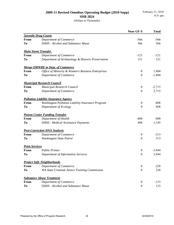#### **2009-11 Revised Omnibus Operating Budget (2010 Supp) SHB 2824**

|                       |                                                   | <b>Near GF-S</b> | <b>Total</b> |
|-----------------------|---------------------------------------------------|------------------|--------------|
|                       | <b>Juvenile Drug Courts</b>                       |                  |              |
| <b>From</b>           | Department of Commerce                            | $-566$           | $-566$       |
| <b>To</b>             | <b>DSHS</b> - Alcohol and Substance Abuse         | 566              | 566          |
|                       | <b>Main Street Transfer</b>                       |                  |              |
| From                  | Department of Commerce                            | $-121$           | $-121$       |
| <b>To</b>             | Department of Archaeology & Historic Preservation | 121              | 121          |
|                       | <b>Merge OMWBE to Dept. of Commerce</b>           |                  |              |
| From                  | Office of Minority & Women's Business Enterprises | $\boldsymbol{0}$ | 1,804        |
| <b>To</b>             | Department of Commerce                            | $\boldsymbol{0}$ | $-1,804$     |
|                       | <b>Municipal Research Council</b>                 |                  |              |
| From                  | Municipal Research Council                        | $\boldsymbol{0}$ | $-2,715$     |
| To                    | Department of Commerce                            | $\boldsymbol{0}$ | 2,715        |
|                       | <b>Pollution Liability Insurance Agency</b>       |                  |              |
| From                  | Washington Pollution Liability Insurance Program  | $\boldsymbol{0}$ | $-808$       |
| <b>To</b>             | Department of Ecology                             | $\boldsymbol{0}$ | 808          |
|                       | <b>Poison Center Funding Transfer</b>             |                  |              |
| <b>From</b>           | Department of Health                              | $-400$           | $-400$       |
| <b>To</b>             | <b>DSHS</b> - Medical Assistance Payments         | 400              | 1,145        |
|                       | <b>Post-Conviction DNA Analysis</b>               |                  |              |
| From                  | Department of Commerce                            | $\boldsymbol{0}$ | $-313$       |
| <b>To</b>             | <b>Washington State Patrol</b>                    | $\boldsymbol{0}$ | 313          |
| <b>Print Services</b> |                                                   |                  |              |
| From                  | <b>Public Printer</b>                             | $\boldsymbol{0}$ | $-3,944$     |
| <b>To</b>             | <b>Department of Information Services</b>         | $\boldsymbol{0}$ | 3,944        |
|                       | <b>Project Safe Neighborhoods</b>                 |                  |              |
| From                  | Department of Commerce                            | $\mathbf{0}$     | $-228$       |
| <b>To</b>             | WA State Criminal Justice Training Commission     | $\theta$         | 228          |
|                       | <b>Substance Abuse Treatment</b>                  |                  |              |
| From                  | Department of Commerce                            | $\boldsymbol{0}$ | $-133$       |
| To                    | <b>DSHS</b> - Alcohol and Substance Abuse         | $\boldsymbol{0}$ | 133          |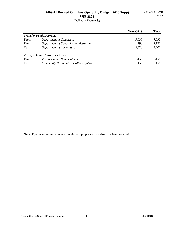#### **2009-11 Revised Omnibus Operating Budget (2010 Supp) SHB 2824**

(Dollars in Thousands)

|             |                                       | <b>Near GF-S</b> | Total    |
|-------------|---------------------------------------|------------------|----------|
|             | <b>Transfer Food Programs</b>         |                  |          |
| From        | Department of Commerce                | $-5,030$         | $-5,030$ |
| From        | Department of General Administration  | $-390$           | $-3,172$ |
| To          | Department of Agriculture             | 5,420            | 8,202    |
|             | <b>Transfer Labor Resource Center</b> |                  |          |
| <b>From</b> | The Evergreen State College           | $-150$           | $-150$   |
| To          | Community & Technical College System  | 150              | 150      |

**Note:** Figures represent amounts transferred; programs may also have been reduced.